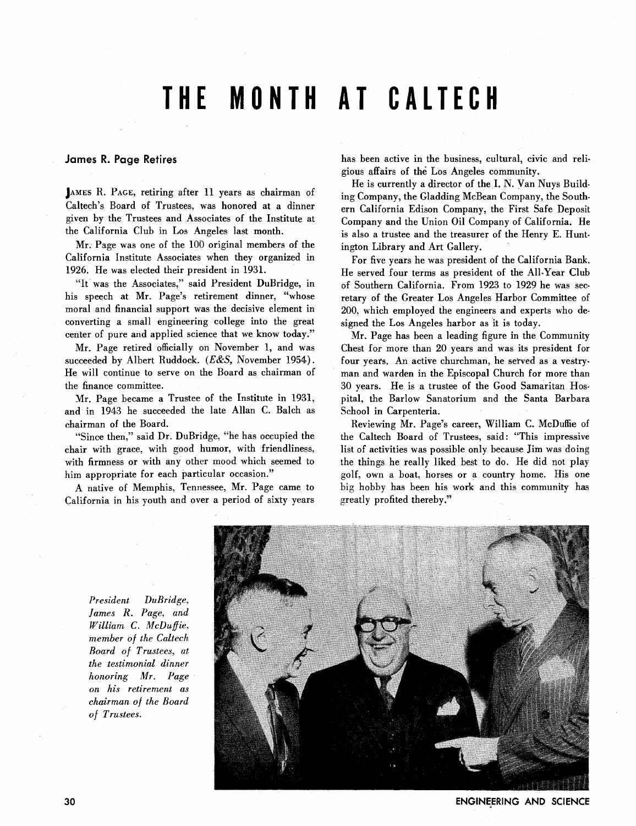## **THE MONTH AT CALTECH**

## **James R. Page Retires**

**JAMES** R. **PAGE,** retiring after 11 years as chairman of Caltech's Board of Trustees, was honored at a dinner given by the Trustees and Associates of the Institute at the California Club in Los Angeles last month.

Mr. Page was one of the 100 original members of the California Institute Associates when they organized in 1926. He was elected their president in 1931.

"It was the Associates," said President DuBridge, in his speech at Mr. Page's retirement dinner, "whose moral and financial support was the decisive element in converting a small engineering college into the great center of pure and applied science that we know today."

Mr. Page retired officially on November 1, and was succeeded by Albert Ruddock. *(E&S,* November 1954). He will continue to serve on the Board as chairman of the finance committee.

Mr. Page became a Trustee of the Institute in 1931, and in 1943 he succeeded the late Allan C. Balch as chairman of the Board.

"Since then," said Dr. DuBridge, "he has occupied the chair with grace, with good humor, with friendliness, with firmness or with any other mood which seemed to him appropriate for each particular occasion."

A native of Memphis, Tennessee, Mr. Page came to California in his youth and over a period of sixty years has been active in the business, cultural, civic and religious affairs of the Los Angeles community.

He is currently a director of the I. N. Van Nuys Building Company, the Gladding McBean Company, the Southern California Edison Company, the First Safe Deposit Company and the Union Oil Company of California. He is also a trustee and the treasurer of the Henry E. Huntington Library and Art Gallery.

For five years he was president of the California Bank. He served four terms as president of the All-Year Club of Southern California. From 1923 to 1929 he was secretary of the Greater Los Angeles Harbor Committee of 200, which employed the engineers and experts who designed the Los Angeles harbor as it is today.

Mr. Page has been a leading figure in the Community Chest for more than 20 years and was its president for four years. An active churchman, he served as a vestryman and warden in the Episcopal Church for more than 30 years. He is a trustee of the Good Samaritan Hospital, the Barlow Sanatorium and the Santa Barbara School in Carpenteria.

Reviewing Mr. Page's career, William *C.* McDuffie of the Caltech Board of Trustees, said: "This impressive list of activities was possible only because Jim was doing the things he really liked best to do. He did not play golf, own a boat, horses or a country home. His one big hobby has been his work and this community has greatly profited thereby."

*President DuBridge, James R. Page, and William* **C.** *McDuffie, member of the Caltech Board of Trustees, at the testimonial dinner honoring Mr. Page on his retirement as chairman of the Board of Trustees.* 



**ENGINEERING AND SCIENCE**